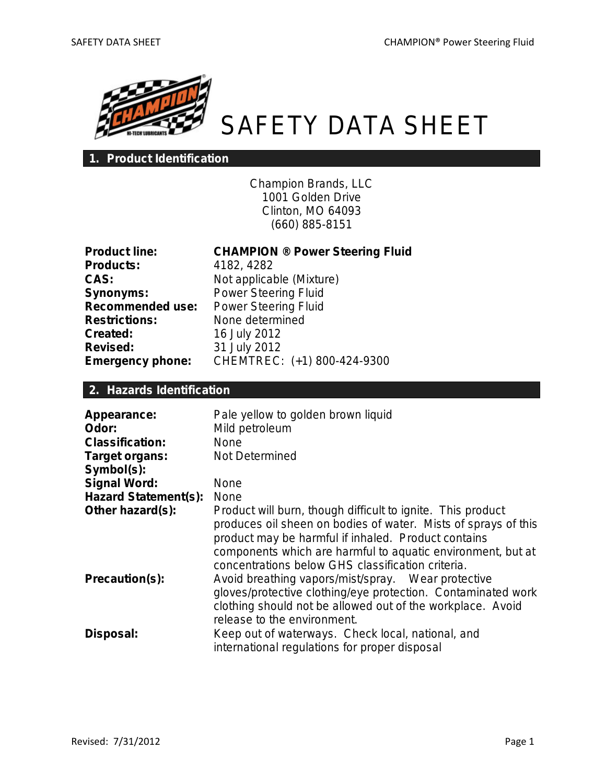

# SAFETY DATA SHEET

# **1. Product Identification**

Champion Brands, LLC 1001 Golden Drive Clinton, MO 64093 (660) 885-8151

| <b>Product line:</b>    |
|-------------------------|
| <b>Products:</b>        |
| CAS:                    |
| <b>Synonyms:</b>        |
| <b>Recommended use:</b> |
| <b>Restrictions:</b>    |
| Created:                |
| Revised:                |
| <b>Emergency phone:</b> |

**CHAMPION ® Power Steering Fluid Products:** 4182, 4282 Not applicable (Mixture) **Power Steering Fluid Power Steering Fluid Restrictions:** None determined **Created:** 16 July 2012 **Revised:** 31 July 2012 **Emergency phone:** CHEMTREC: (+1) 800-424-9300

### **2. Hazards Identification**

| Appearance:<br>Odor:<br><b>Classification:</b> | Pale yellow to golden brown liquid<br>Mild petroleum<br><b>None</b>                                                                                                                                                                                                                                      |
|------------------------------------------------|----------------------------------------------------------------------------------------------------------------------------------------------------------------------------------------------------------------------------------------------------------------------------------------------------------|
| Target organs:<br>Symbol(s):                   | Not Determined                                                                                                                                                                                                                                                                                           |
| <b>Signal Word:</b>                            | <b>None</b>                                                                                                                                                                                                                                                                                              |
| <b>Hazard Statement(s):</b>                    | <b>None</b>                                                                                                                                                                                                                                                                                              |
| Other hazard(s):                               | Product will burn, though difficult to ignite. This product<br>produces oil sheen on bodies of water. Mists of sprays of this<br>product may be harmful if inhaled. Product contains<br>components which are harmful to aquatic environment, but at<br>concentrations below GHS classification criteria. |
| Precaution(s):                                 | Avoid breathing vapors/mist/spray. Wear protective<br>gloves/protective clothing/eye protection. Contaminated work<br>clothing should not be allowed out of the workplace. Avoid<br>release to the environment.                                                                                          |
| Disposal:                                      | Keep out of waterways. Check local, national, and<br>international regulations for proper disposal                                                                                                                                                                                                       |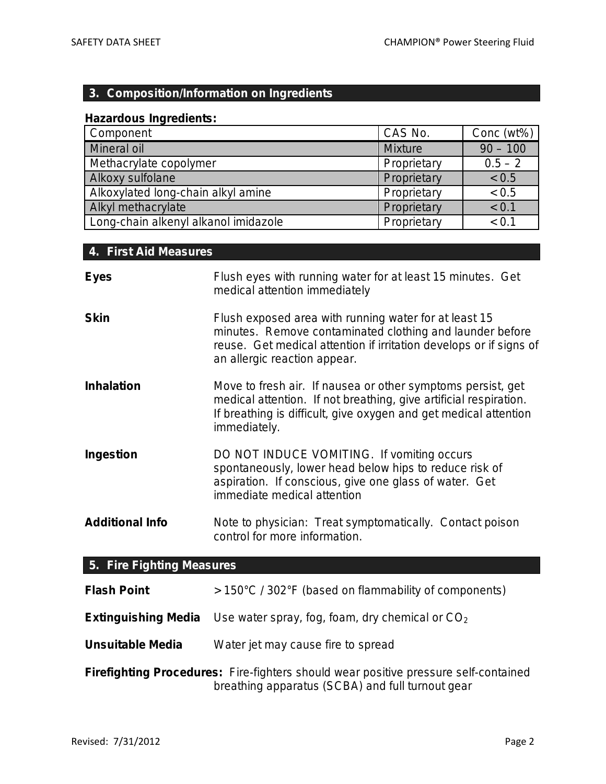# **3. Composition/Information on Ingredients**

# **Hazardous Ingredients:**

| Component                            | CAS No.        | Conc (wt%) |
|--------------------------------------|----------------|------------|
| Mineral oil                          | <b>Mixture</b> | $90 - 100$ |
| Methacrylate copolymer               | Proprietary    | $0.5 - 2$  |
| Alkoxy sulfolane                     | Proprietary    | < 0.5      |
| Alkoxylated long-chain alkyl amine   | Proprietary    | < 0.5      |
| Alkyl methacrylate                   | Proprietary    | < 0.1      |
| Long-chain alkenyl alkanol imidazole | Proprietary    | < 0.1      |

# **4. First Aid Measures**

| <b>Eyes</b>               | Flush eyes with running water for at least 15 minutes. Get<br>medical attention immediately                                                                                                                             |
|---------------------------|-------------------------------------------------------------------------------------------------------------------------------------------------------------------------------------------------------------------------|
| <b>Skin</b>               | Flush exposed area with running water for at least 15<br>minutes. Remove contaminated clothing and launder before<br>reuse. Get medical attention if irritation develops or if signs of<br>an allergic reaction appear. |
| <b>Inhalation</b>         | Move to fresh air. If nausea or other symptoms persist, get<br>medical attention. If not breathing, give artificial respiration.<br>If breathing is difficult, give oxygen and get medical attention<br>immediately.    |
| <b>Ingestion</b>          | DO NOT INDUCE VOMITING. If vomiting occurs<br>spontaneously, lower head below hips to reduce risk of<br>aspiration. If conscious, give one glass of water. Get<br>immediate medical attention                           |
| <b>Additional Info</b>    | Note to physician: Treat symptomatically. Contact poison<br>control for more information.                                                                                                                               |
| 5. Fire Fighting Measures |                                                                                                                                                                                                                         |

| <b>Flash Point</b>                                                                                                                      | > 150°C / 302°F (based on flammability of components)                        |
|-----------------------------------------------------------------------------------------------------------------------------------------|------------------------------------------------------------------------------|
|                                                                                                                                         | <b>Extinguishing Media</b> Use water spray, fog, foam, dry chemical or $CO2$ |
| <b>Unsuitable Media</b>                                                                                                                 | Water jet may cause fire to spread                                           |
| Firefighting Procedures: Fire-fighters should wear positive pressure self-contained<br>breathing apparatus (SCBA) and full turnout gear |                                                                              |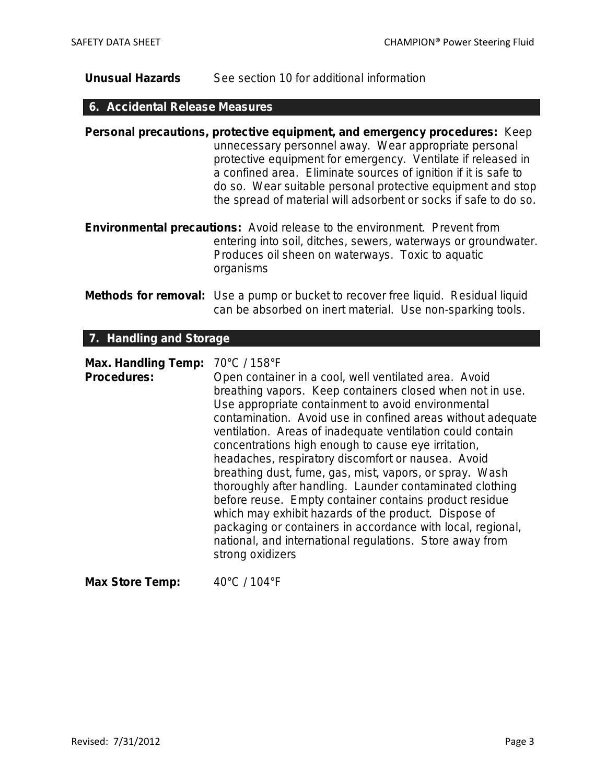# **Unusual Hazards** See section 10 for additional information

# **6. Accidental Release Measures**

|                                                  | Personal precautions, protective equipment, and emergency procedures: Keep<br>unnecessary personnel away. Wear appropriate personal<br>protective equipment for emergency. Ventilate if released in<br>a confined area. Eliminate sources of ignition if it is safe to<br>do so. Wear suitable personal protective equipment and stop<br>the spread of material will adsorbent or socks if safe to do so.                                                                                                                                                                                                                                                                                                                                  |
|--------------------------------------------------|--------------------------------------------------------------------------------------------------------------------------------------------------------------------------------------------------------------------------------------------------------------------------------------------------------------------------------------------------------------------------------------------------------------------------------------------------------------------------------------------------------------------------------------------------------------------------------------------------------------------------------------------------------------------------------------------------------------------------------------------|
|                                                  | <b>Environmental precautions:</b> Avoid release to the environment. Prevent from<br>entering into soil, ditches, sewers, waterways or groundwater.<br>Produces oil sheen on waterways. Toxic to aquatic<br>organisms                                                                                                                                                                                                                                                                                                                                                                                                                                                                                                                       |
|                                                  | <b>Methods for removal:</b> Use a pump or bucket to recover free liquid. Residual liquid<br>can be absorbed on inert material. Use non-sparking tools.                                                                                                                                                                                                                                                                                                                                                                                                                                                                                                                                                                                     |
| 7. Handling and Storage                          |                                                                                                                                                                                                                                                                                                                                                                                                                                                                                                                                                                                                                                                                                                                                            |
| <b>Max. Handling Temp:</b><br><b>Procedures:</b> | 70°C / 158°F<br>Open container in a cool, well ventilated area. Avoid<br>breathing vapors. Keep containers closed when not in use.<br>Use appropriate containment to avoid environmental<br>contamination. Avoid use in confined areas without adequate<br>ventilation. Areas of inadequate ventilation could contain<br>concentrations high enough to cause eye irritation,<br>headaches, respiratory discomfort or nausea. Avoid<br>breathing dust, fume, gas, mist, vapors, or spray. Wash<br>thoroughly after handling. Launder contaminated clothing<br>before reuse. Empty container contains product residue<br>which may exhibit hazards of the product. Dispose of<br>packaging or containers in accordance with local, regional, |

national, and international regulations. Store away from

Max Store Temp:  $40^{\circ}$ C / 104°F

strong oxidizers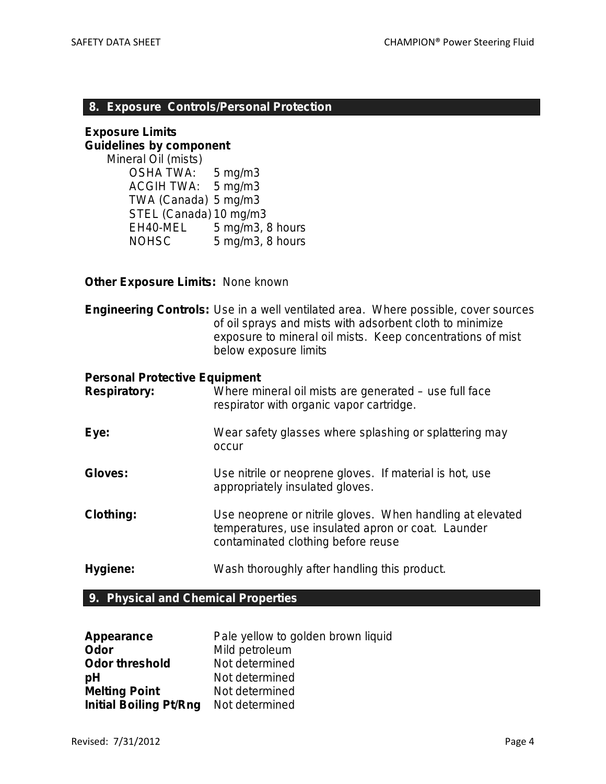#### **8. Exposure Controls/Personal Protection**

#### **Exposure Limits Guidelines by component**

*Mineral Oil (mists)* OSHA TWA: 5 mg/m3 ACGIH TWA: 5 mg/m3 TWA (Canada) 5 mg/m3 STEL (Canada) 10 mg/m3 EH40-MEL 5 mg/m3, 8 hours NOHSC 5 mg/m3, 8 hours

#### **Other Exposure Limits:** None known

**Engineering Controls:** Use in a well ventilated area. Where possible, cover sources of oil sprays and mists with adsorbent cloth to minimize exposure to mineral oil mists. Keep concentrations of mist below exposure limits

#### **Personal Protective Equipment**

| <b>Respiratory:</b> | Where mineral oil mists are generated – use full face<br>respirator with organic vapor cartridge.                                                     |
|---------------------|-------------------------------------------------------------------------------------------------------------------------------------------------------|
| Eye:                | Wear safety glasses where splashing or splattering may<br>occur                                                                                       |
| Gloves:             | Use nitrile or neoprene gloves. If material is hot, use<br>appropriately insulated gloves.                                                            |
| <b>Clothing:</b>    | Use neoprene or nitrile gloves. When handling at elevated<br>temperatures, use insulated apron or coat. Launder<br>contaminated clothing before reuse |
| Hygiene:            | Wash thoroughly after handling this product.                                                                                                          |

### **9. Physical and Chemical Properties**

| Appearance                    | Pale yellow to golden brown liquid |
|-------------------------------|------------------------------------|
| Odor                          | Mild petroleum                     |
| <b>Odor threshold</b>         | Not determined                     |
| pH                            | Not determined                     |
| <b>Melting Point</b>          | Not determined                     |
| <b>Initial Boiling Pt/Rng</b> | Not determined                     |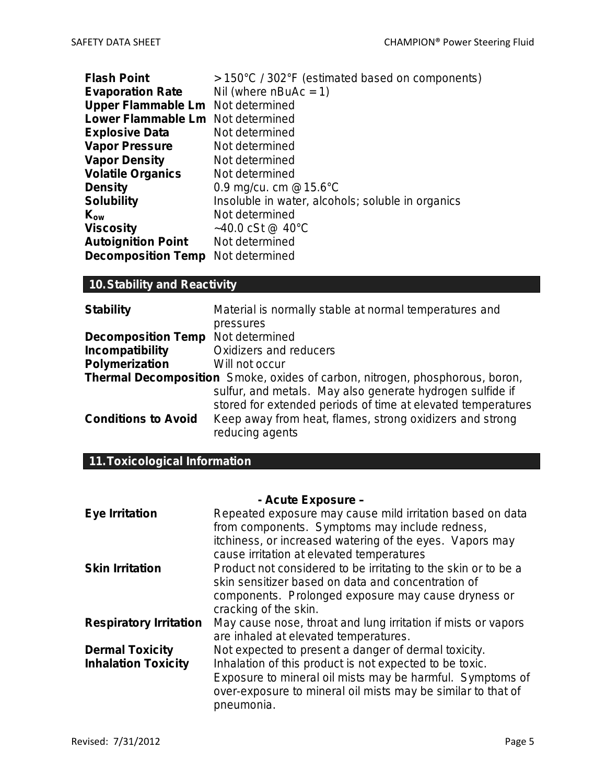| > 150°C / 302°F (estimated based on components)   |
|---------------------------------------------------|
|                                                   |
|                                                   |
|                                                   |
|                                                   |
|                                                   |
|                                                   |
|                                                   |
|                                                   |
| Insoluble in water, alcohols; soluble in organics |
|                                                   |
|                                                   |
|                                                   |
|                                                   |
|                                                   |

# **10.Stability and Reactivity**

| <b>Stability</b>                                                             | Material is normally stable at normal temperatures and                                                                    |  |
|------------------------------------------------------------------------------|---------------------------------------------------------------------------------------------------------------------------|--|
|                                                                              | pressures                                                                                                                 |  |
| <b>Decomposition Temp</b> Not determined                                     |                                                                                                                           |  |
| Incompatibility                                                              | Oxidizers and reducers                                                                                                    |  |
| Polymerization                                                               | Will not occur                                                                                                            |  |
| Thermal Decomposition Smoke, oxides of carbon, nitrogen, phosphorous, boron, |                                                                                                                           |  |
|                                                                              | sulfur, and metals. May also generate hydrogen sulfide if<br>stored for extended periods of time at elevated temperatures |  |
| <b>Conditions to Avoid</b>                                                   | Keep away from heat, flames, strong oxidizers and strong<br>reducing agents                                               |  |

# **11.Toxicological Information**

| - Acute Exposure -            |                                                                |  |
|-------------------------------|----------------------------------------------------------------|--|
| <b>Eye Irritation</b>         | Repeated exposure may cause mild irritation based on data      |  |
|                               | from components. Symptoms may include redness,                 |  |
|                               | itchiness, or increased watering of the eyes. Vapors may       |  |
|                               | cause irritation at elevated temperatures                      |  |
| <b>Skin Irritation</b>        | Product not considered to be irritating to the skin or to be a |  |
|                               | skin sensitizer based on data and concentration of             |  |
|                               | components. Prolonged exposure may cause dryness or            |  |
|                               | cracking of the skin.                                          |  |
| <b>Respiratory Irritation</b> | May cause nose, throat and lung irritation if mists or vapors  |  |
|                               | are inhaled at elevated temperatures.                          |  |
| <b>Dermal Toxicity</b>        | Not expected to present a danger of dermal toxicity.           |  |
| <b>Inhalation Toxicity</b>    | Inhalation of this product is not expected to be toxic.        |  |
|                               | Exposure to mineral oil mists may be harmful. Symptoms of      |  |
|                               | over-exposure to mineral oil mists may be similar to that of   |  |
|                               | pneumonia.                                                     |  |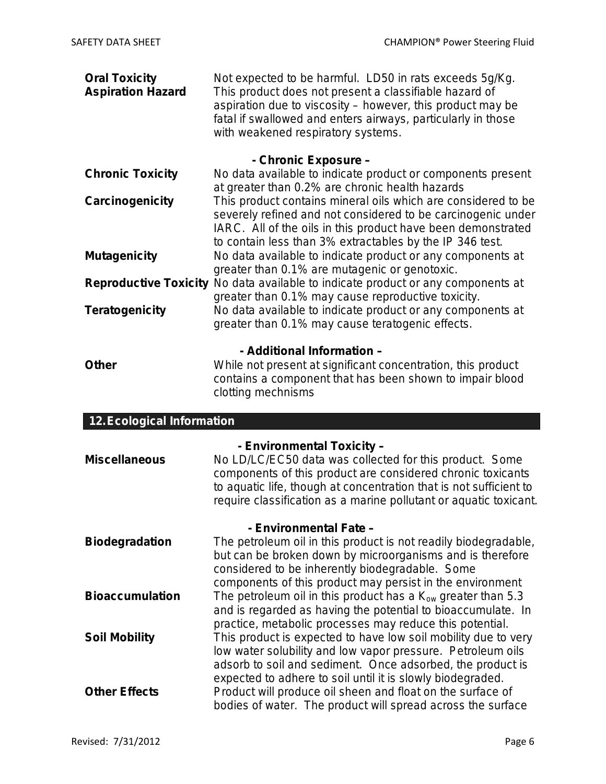| <b>Oral Toxicity</b><br><b>Aspiration Hazard</b> | Not expected to be harmful. LD50 in rats exceeds 5g/Kg.<br>This product does not present a classifiable hazard of<br>aspiration due to viscosity – however, this product may be<br>fatal if swallowed and enters airways, particularly in those<br>with weakened respiratory systems. |  |
|--------------------------------------------------|---------------------------------------------------------------------------------------------------------------------------------------------------------------------------------------------------------------------------------------------------------------------------------------|--|
|                                                  | - Chronic Exposure -                                                                                                                                                                                                                                                                  |  |
| <b>Chronic Toxicity</b>                          | No data available to indicate product or components present<br>at greater than 0.2% are chronic health hazards                                                                                                                                                                        |  |
| Carcinogenicity                                  | This product contains mineral oils which are considered to be<br>severely refined and not considered to be carcinogenic under<br>IARC. All of the oils in this product have been demonstrated<br>to contain less than 3% extractables by the IP 346 test.                             |  |
| <b>Mutagenicity</b>                              | No data available to indicate product or any components at<br>greater than 0.1% are mutagenic or genotoxic.                                                                                                                                                                           |  |
|                                                  | Reproductive Toxicity No data available to indicate product or any components at<br>greater than 0.1% may cause reproductive toxicity.                                                                                                                                                |  |
| <b>Teratogenicity</b>                            | No data available to indicate product or any components at<br>greater than 0.1% may cause teratogenic effects.                                                                                                                                                                        |  |
| - Additional Information -                       |                                                                                                                                                                                                                                                                                       |  |
| <b>Other</b>                                     | While not present at significant concentration, this product<br>contains a component that has been shown to impair blood<br>clotting mechnisms                                                                                                                                        |  |
| <b>12. Ecological Information</b>                |                                                                                                                                                                                                                                                                                       |  |
|                                                  | - Environmental Toxicity -                                                                                                                                                                                                                                                            |  |
| <b>Miscellaneous</b>                             | No LD/LC/EC50 data was collected for this product. Some<br>components of this product are considered chronic toxicants<br>to aquatic life, though at concentration that is not sufficient to<br>require classification as a marine pollutant or aquatic toxicant.                     |  |
| - Environmental Fate -                           |                                                                                                                                                                                                                                                                                       |  |
|                                                  | the contract of the contract of the contract of the contract of the contract of the contract of the contract of                                                                                                                                                                       |  |

**Biodegradation** The petroleum oil in this product is not readily biodegradable, but can be broken down by microorganisms and is therefore considered to be inherently biodegradable. Some components of this product may persist in the environment **Bioaccumulation** The petroleum oil in this product has a K<sub>ow</sub> greater than 5.3 and is regarded as having the potential to bioaccumulate. In practice, metabolic processes may reduce this potential. **Soil Mobility** This product is expected to have low soil mobility due to very low water solubility and low vapor pressure. Petroleum oils adsorb to soil and sediment. Once adsorbed, the product is expected to adhere to soil until it is slowly biodegraded. **Other Effects** Product will produce oil sheen and float on the surface of bodies of water. The product will spread across the surface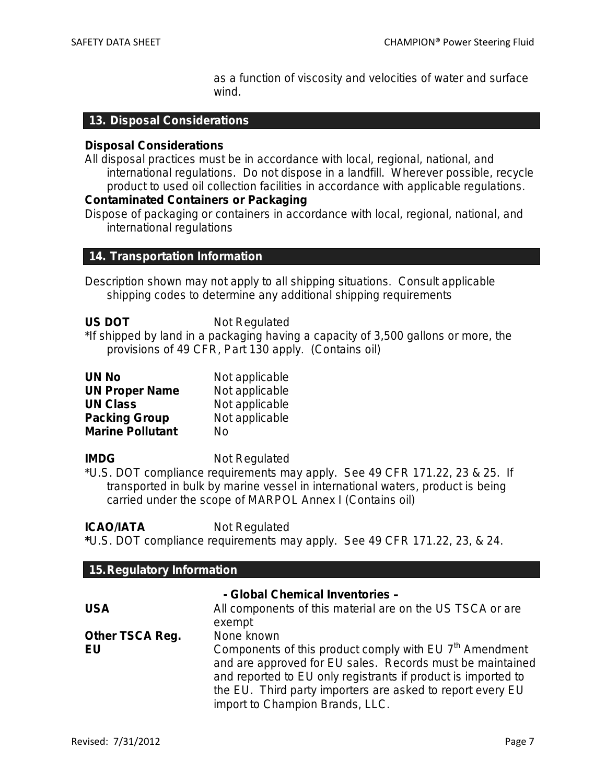as a function of viscosity and velocities of water and surface wind.

#### **13. Disposal Considerations**

#### **Disposal Considerations**

All disposal practices must be in accordance with local, regional, national, and international regulations. Do not dispose in a landfill. Wherever possible, recycle product to used oil collection facilities in accordance with applicable regulations.

#### **Contaminated Containers or Packaging**

Dispose of packaging or containers in accordance with local, regional, national, and international regulations

#### **14. Transportation Information**

Description shown may not apply to all shipping situations. Consult applicable shipping codes to determine any additional shipping requirements

| <b>US DOT</b> | Not Regulated |
|---------------|---------------|
|---------------|---------------|

\*If shipped by land in a packaging having a capacity of 3,500 gallons or more, the provisions of 49 CFR, Part 130 apply. (Contains oil)

| <b>UN No</b>            | Not applicable |
|-------------------------|----------------|
| <b>UN Proper Name</b>   | Not applicable |
| <b>UN Class</b>         | Not applicable |
| <b>Packing Group</b>    | Not applicable |
| <b>Marine Pollutant</b> | No             |

**IMDG** Not Regulated

\*U.S. DOT compliance requirements may apply. See 49 CFR 171.22, 23 & 25. If transported in bulk by marine vessel in international waters, product is being carried under the scope of MARPOL Annex I (Contains oil)

**ICAO/IATA** Not Regulated

**\***U.S. DOT compliance requirements may apply. See 49 CFR 171.22, 23, & 24.

| 15. Regulatory Information   |                                                                                                                                                                                                                                                                                                                  |  |
|------------------------------|------------------------------------------------------------------------------------------------------------------------------------------------------------------------------------------------------------------------------------------------------------------------------------------------------------------|--|
|                              | - Global Chemical Inventories -                                                                                                                                                                                                                                                                                  |  |
| <b>USA</b>                   | All components of this material are on the US TSCA or are<br>exempt                                                                                                                                                                                                                                              |  |
| <b>Other TSCA Reg.</b><br>EU | None known<br>Components of this product comply with EU 7 <sup>th</sup> Amendment<br>and are approved for EU sales. Records must be maintained<br>and reported to EU only registrants if product is imported to<br>the EU. Third party importers are asked to report every EU<br>import to Champion Brands, LLC. |  |